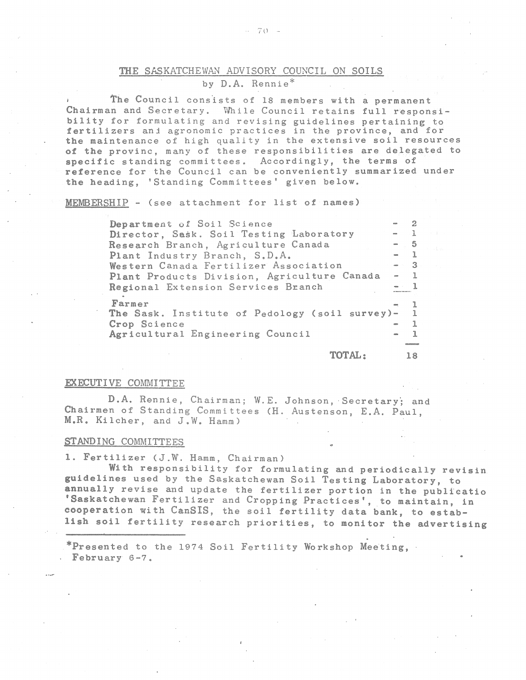# THE SASKATCHEWAN ADVISORY COUNCIL ON SOILS by D.A. Rennie\*

The Council consists of 18 members with a permanent Chairman and Secretary. While Council retains full responsibility for formulating and revising guidelines pertaining to fertilizers and agronomic practices in the province, and for the maintenance of high quality in the extensive soil resources of the provinc, many of these responsibilities are delegated to specific standing committees. Accordingly, the terms of reference for the Council can be conveniently summarized under the heading, 'Standing Committees' given below.

MEMBERSHIP - (see attachment for list of names)

| Department of Soil Science                       | <b>ASSISTENTIAL CONTRACTOR</b> |      |
|--------------------------------------------------|--------------------------------|------|
| Director, Sask. Soil Testing Laboratory          | $-1$                           |      |
| Research Branch, Agriculture Canada              | $-5$                           |      |
| Plant Industry Branch, S.D.A.                    | $-1$                           |      |
| Western Canada Fertilizer Association            |                                | $-3$ |
| Plant Products Division, Agriculture Canada      | $-1$                           |      |
| Regional Extension Services Branch               | $-1$                           |      |
| Farmer                                           |                                |      |
| The Sask. Institute of Pedology (soil survey)- 1 |                                |      |
| Crop Science                                     |                                |      |
| Agricultural Engineering Council                 |                                |      |
|                                                  |                                |      |

TOTAL: 18

#### EXECUTIVE COMMITTEE

D.A. Rennie, Chairman; W.E. Johnson, Secretary; and Chairmen of Standing Committees (H. Austenson, E.A. Paul, M.R. Kilcher, and J.W. Hamm)

#### STANDING COMMITTEES

1. Fertilizer (J.W. Hamm, Chairman)

With responsibility for formulating and periodically revisin guidelines used by the Saskatchewan Soil Testing Laboratory, to annually revise and update the fertilizer portion in the publicatio 'Saskatchewan Fertilizer and Cropping Practices', to maintain, in cooperation with CanSIS, the soil fertility data bank, to establish soil fertility research priorities, to monitor the advertising

\*Presented to the 1974 Soil Fertility Workshop Meeting, February 6-7.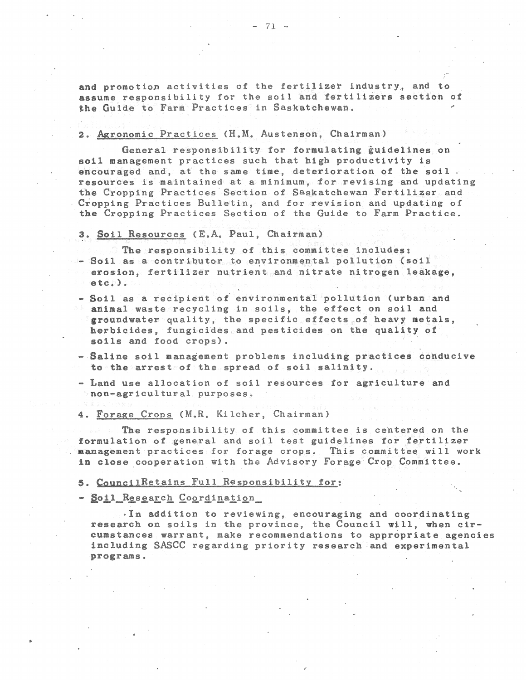and promotion activities of the fertilizer industry, and to assume responsibility for the soil and fertilizers section of the Guide to Farm Practices in Saskatchewan.

# 2. Agronomic Practices (H.M. Austenson, Chairman)

General responsibility for formulating guidelines on soil management practices such that high productivity is encouraged and, at the same time, deterioration of the soil. resources is maintained at a minimum, for revising and updating the Cropping Practices Section of Saskatchewan Fertilizer and Cropping Practices Bulletin, and for revision and updating of the Cropping Practices Section of the Guide to Farm Practice.

### 3. Soil Resources (E.A. Paul, Chairman)

- The responsibility of this committee includes:  $\sim$  Soil as a contributor to environmental pollution (soil erosion, fertilizer nutrient and nitrate nitrogen leakage.  $etc.)$
- Soil as a recipient of environmental pollution (urban and animal waste recycling in soils, the effect on soil and groundwater quality, the specific effects of heavy metals, herbicides, fungicides and pesticides on the quality of soils and food crops).
- Saline soil management problems including practices conducive to the arrest of the spread of soil salinity.
- Land use allocation of soil resources for agriculture and non-agricultural purposes.

#### 4. Forage Crops (M.R. Kilcher, Chairman)

The responsibility of this committee is centered on the formulation of general and soil test guidelines for fertilizer management practices for forage crops. This committee will work in close cooperation with the Advisory Forage Crop Committee.

# 5. CouncilRetains Full Responsibility for:

- Soil Research Coordination

. In addition to reviewing, encouraging and coordinating research on soils in the province, the Council will, when circumstances warrant, make recommendations to appropriate agencies including SASCC regarding priority research and experimental programs.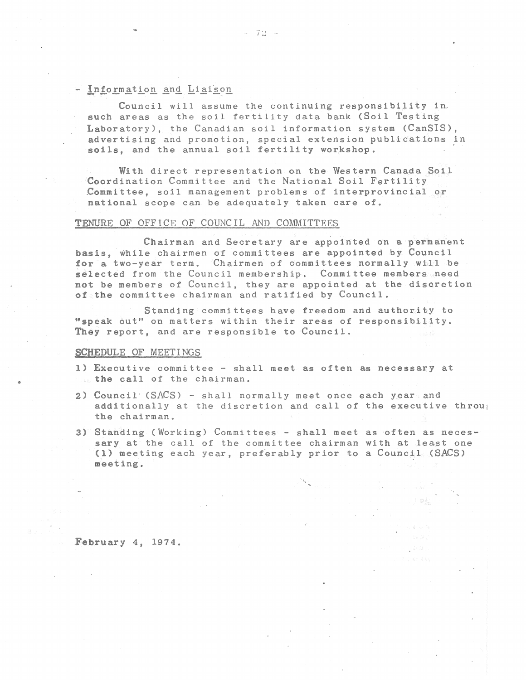# - Information and Liaison

Council will assume the continuing responsibility in. such areas as the soil fertility data bank (Soil Testing Laboratory), the Canadian soil information system (CanSIS), advertising and promotion, special extension publications in soils, and the annual soil fertility workshop.

With direct representation on the Western Canada Soil Coordination Committee and the National Soil Fertility .Committee, soil management problems of interprovincial or national scope can be adequately taken care of.

# TENURE OF OFFICE OF COUNCIL AND COMMITTEES

Chairman and Secretary are appointed on a permanent basis, while chairmen of committees are appointed by Council for a two-year term. Chairmen of committees normally will be selected from the Council membership. Committee members need not be members of Council, they are appointed at the discretion of the committee chairman and ratified by Council.

Standing committees have freedom and authority to "speak out" on matters within their areas of responsibility. They report, and are responsible to Council.

### SCHEDULE OF MEETINGS

•

- 1) Executive committee shall meet as often as necessary at the call of the chairman.
- 2) Council' (SACS) shall normally meet once each year and additionally at the discretion and call of the executive throu<sub>1</sub> the chairman.
- 3) Standing (Working) Committees shall meet as often as necessary at the call of the committee chairman with at least one (1) meeting each year, preferably prior to a Council (SACS) meeting.

February 4, 1974.